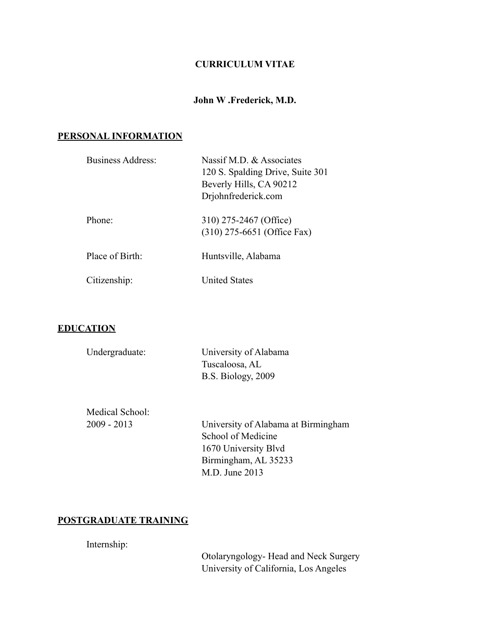#### **CURRICULUM VITAE**

#### **John W .Frederick, M.D.**

#### **PERSONAL INFORMATION**

| Business Address: | Nassif M.D. & Associates<br>120 S. Spalding Drive, Suite 301<br>Beverly Hills, CA 90212<br>Drjohnfrederick.com |
|-------------------|----------------------------------------------------------------------------------------------------------------|
| Phone:            | 310) 275-2467 (Office)<br>$(310)$ 275-6651 (Office Fax)                                                        |
| Place of Birth:   | Huntsville, Alabama                                                                                            |
| Citizenship:      | <b>United States</b>                                                                                           |

#### **EDUCATION**

| Undergraduate: | University of Alabama |
|----------------|-----------------------|
|                | Tuscaloosa, AL        |
|                | B.S. Biology, 2009    |

Medical School:

 2009 - 2013 University of Alabama at Birmingham School of Medicine 1670 University Blvd Birmingham, AL 35233 M.D. June 2013

## **POSTGRADUATE TRAINING**

Internship:

 Otolaryngology- Head and Neck Surgery University of California, Los Angeles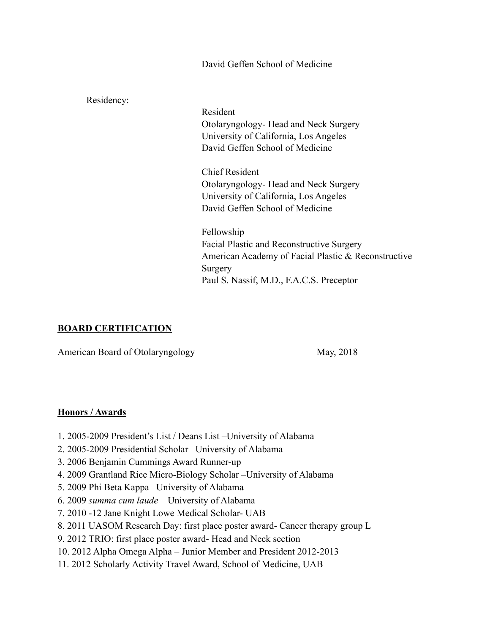David Geffen School of Medicine

Residency: Resident Otolaryngology- Head and Neck Surgery University of California, Los Angeles David Geffen School of Medicine Chief Resident Otolaryngology- Head and Neck Surgery University of California, Los Angeles David Geffen School of Medicine Fellowship Facial Plastic and Reconstructive Surgery American Academy of Facial Plastic & Reconstructive Surgery Paul S. Nassif, M.D., F.A.C.S. Preceptor

## **BOARD CERTIFICATION**

American Board of Otolaryngology May, 2018

## **Honors / Awards**

- 1. 2005-2009 President's List / Deans List –University of Alabama
- 2. 2005-2009 Presidential Scholar –University of Alabama
- 3. 2006 Benjamin Cummings Award Runner-up
- 4. 2009 Grantland Rice Micro-Biology Scholar –University of Alabama
- 5. 2009 Phi Beta Kappa –University of Alabama
- 6. 2009 *summa cum laude*  University of Alabama
- 7. 2010 -12 Jane Knight Lowe Medical Scholar- UAB
- 8. 2011 UASOM Research Day: first place poster award- Cancer therapy group L
- 9. 2012 TRIO: first place poster award- Head and Neck section
- 10. 2012 Alpha Omega Alpha Junior Member and President 2012-2013
- 11. 2012 Scholarly Activity Travel Award, School of Medicine, UAB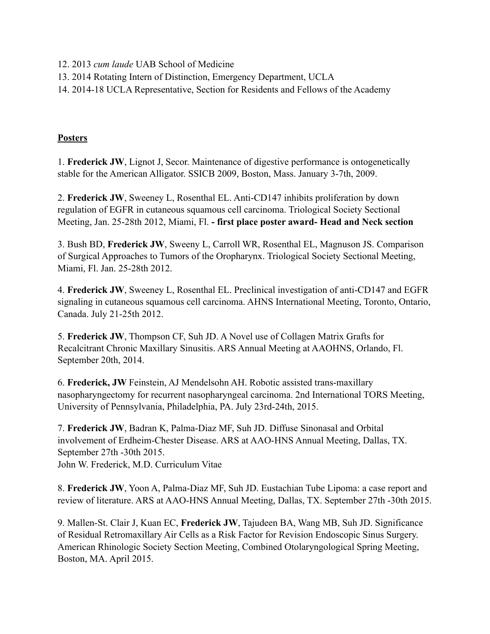- 12. 2013 *cum laude* UAB School of Medicine
- 13. 2014 Rotating Intern of Distinction, Emergency Department, UCLA
- 14. 2014-18 UCLA Representative, Section for Residents and Fellows of the Academy

# **Posters**

1. **Frederick JW**, Lignot J, Secor. Maintenance of digestive performance is ontogenetically stable for the American Alligator. SSICB 2009, Boston, Mass. January 3-7th, 2009.

2. **Frederick JW**, Sweeney L, Rosenthal EL. Anti-CD147 inhibits proliferation by down regulation of EGFR in cutaneous squamous cell carcinoma. Triological Society Sectional Meeting, Jan. 25-28th 2012, Miami, Fl. **- first place poster award- Head and Neck section** 

3. Bush BD, **Frederick JW**, Sweeny L, Carroll WR, Rosenthal EL, Magnuson JS. Comparison of Surgical Approaches to Tumors of the Oropharynx. Triological Society Sectional Meeting, Miami, Fl. Jan. 25-28th 2012.

4. **Frederick JW**, Sweeney L, Rosenthal EL. Preclinical investigation of anti-CD147 and EGFR signaling in cutaneous squamous cell carcinoma. AHNS International Meeting, Toronto, Ontario, Canada. July 21-25th 2012.

5. **Frederick JW**, Thompson CF, Suh JD. A Novel use of Collagen Matrix Grafts for Recalcitrant Chronic Maxillary Sinusitis. ARS Annual Meeting at AAOHNS, Orlando, Fl. September 20th, 2014.

6. **Frederick, JW** Feinstein, AJ Mendelsohn AH. Robotic assisted trans-maxillary nasopharyngectomy for recurrent nasopharyngeal carcinoma. 2nd International TORS Meeting, University of Pennsylvania, Philadelphia, PA. July 23rd-24th, 2015.

7. **Frederick JW**, Badran K, Palma-Diaz MF, Suh JD. Diffuse Sinonasal and Orbital involvement of Erdheim-Chester Disease. ARS at AAO-HNS Annual Meeting, Dallas, TX. September 27th -30th 2015. John W. Frederick, M.D. Curriculum Vitae

8. **Frederick JW**, Yoon A, Palma-Diaz MF, Suh JD. Eustachian Tube Lipoma: a case report and review of literature. ARS at AAO-HNS Annual Meeting, Dallas, TX. September 27th -30th 2015.

9. Mallen-St. Clair J, Kuan EC, **Frederick JW**, Tajudeen BA, Wang MB, Suh JD. Significance of Residual Retromaxillary Air Cells as a Risk Factor for Revision Endoscopic Sinus Surgery. American Rhinologic Society Section Meeting, Combined Otolaryngological Spring Meeting, Boston, MA. April 2015.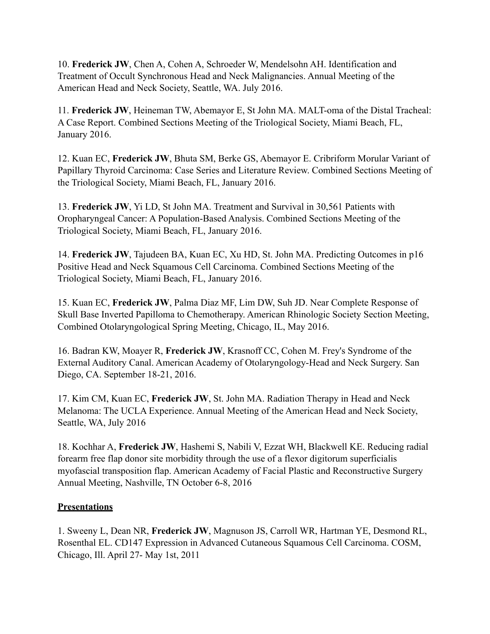10. **Frederick JW**, Chen A, Cohen A, Schroeder W, Mendelsohn AH. Identification and Treatment of Occult Synchronous Head and Neck Malignancies. Annual Meeting of the American Head and Neck Society, Seattle, WA. July 2016.

11. **Frederick JW**, Heineman TW, Abemayor E, St John MA. MALT-oma of the Distal Tracheal: A Case Report. Combined Sections Meeting of the Triological Society, Miami Beach, FL, January 2016.

12. Kuan EC, **Frederick JW**, Bhuta SM, Berke GS, Abemayor E. Cribriform Morular Variant of Papillary Thyroid Carcinoma: Case Series and Literature Review. Combined Sections Meeting of the Triological Society, Miami Beach, FL, January 2016.

13. **Frederick JW**, Yi LD, St John MA. Treatment and Survival in 30,561 Patients with Oropharyngeal Cancer: A Population-Based Analysis. Combined Sections Meeting of the Triological Society, Miami Beach, FL, January 2016.

14. **Frederick JW**, Tajudeen BA, Kuan EC, Xu HD, St. John MA. Predicting Outcomes in p16 Positive Head and Neck Squamous Cell Carcinoma. Combined Sections Meeting of the Triological Society, Miami Beach, FL, January 2016.

15. Kuan EC, **Frederick JW**, Palma Diaz MF, Lim DW, Suh JD. Near Complete Response of Skull Base Inverted Papilloma to Chemotherapy. American Rhinologic Society Section Meeting, Combined Otolaryngological Spring Meeting, Chicago, IL, May 2016.

16. Badran KW, Moayer R, **Frederick JW**, Krasnoff CC, Cohen M. Frey's Syndrome of the External Auditory Canal. American Academy of Otolaryngology-Head and Neck Surgery. San Diego, CA. September 18-21, 2016.

17. Kim CM, Kuan EC, **Frederick JW**, St. John MA. Radiation Therapy in Head and Neck Melanoma: The UCLA Experience. Annual Meeting of the American Head and Neck Society, Seattle, WA, July 2016

18. Kochhar A, **Frederick JW**, Hashemi S, Nabili V, Ezzat WH, Blackwell KE. Reducing radial forearm free flap donor site morbidity through the use of a flexor digitorum superficialis myofascial transposition flap. American Academy of Facial Plastic and Reconstructive Surgery Annual Meeting, Nashville, TN October 6-8, 2016

## **Presentations**

1. Sweeny L, Dean NR, **Frederick JW**, Magnuson JS, Carroll WR, Hartman YE, Desmond RL, Rosenthal EL. CD147 Expression in Advanced Cutaneous Squamous Cell Carcinoma. COSM, Chicago, Ill. April 27- May 1st, 2011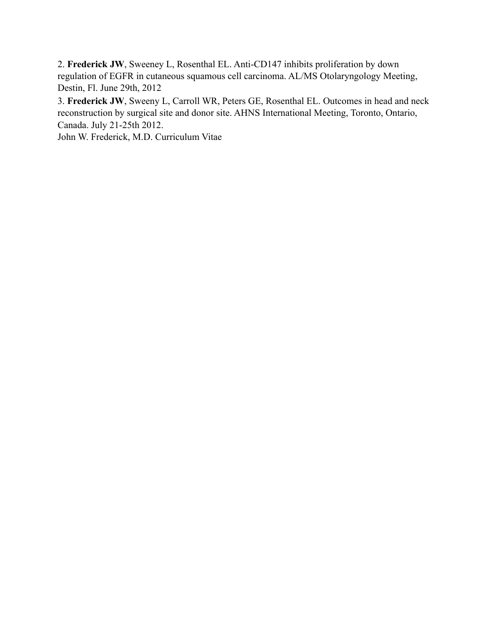2. **Frederick JW**, Sweeney L, Rosenthal EL. Anti-CD147 inhibits proliferation by down regulation of EGFR in cutaneous squamous cell carcinoma. AL/MS Otolaryngology Meeting, Destin, Fl. June 29th, 2012

3. **Frederick JW**, Sweeny L, Carroll WR, Peters GE, Rosenthal EL. Outcomes in head and neck reconstruction by surgical site and donor site. AHNS International Meeting, Toronto, Ontario, Canada. July 21-25th 2012.

John W. Frederick, M.D. Curriculum Vitae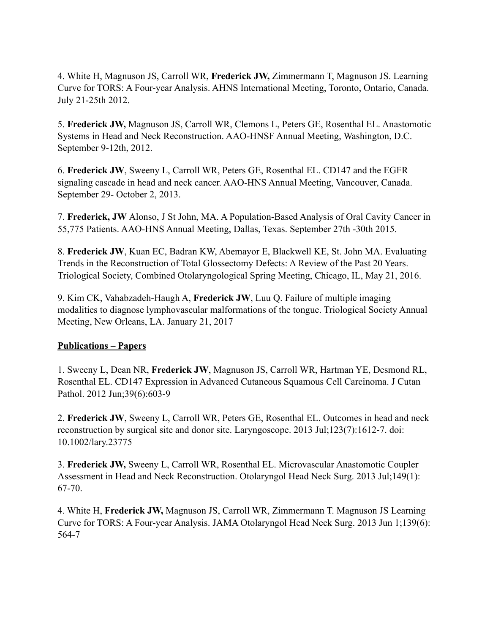4. White H, Magnuson JS, Carroll WR, **Frederick JW,** Zimmermann T, Magnuson JS. Learning Curve for TORS: A Four-year Analysis. AHNS International Meeting, Toronto, Ontario, Canada. July 21-25th 2012.

5. **Frederick JW,** Magnuson JS, Carroll WR, Clemons L, Peters GE, Rosenthal EL. Anastomotic Systems in Head and Neck Reconstruction. AAO-HNSF Annual Meeting, Washington, D.C. September 9-12th, 2012.

6. **Frederick JW**, Sweeny L, Carroll WR, Peters GE, Rosenthal EL. CD147 and the EGFR signaling cascade in head and neck cancer. AAO-HNS Annual Meeting, Vancouver, Canada. September 29- October 2, 2013.

7. **Frederick, JW** Alonso, J St John, MA. A Population-Based Analysis of Oral Cavity Cancer in 55,775 Patients. AAO-HNS Annual Meeting, Dallas, Texas. September 27th -30th 2015.

8. **Frederick JW**, Kuan EC, Badran KW, Abemayor E, Blackwell KE, St. John MA. Evaluating Trends in the Reconstruction of Total Glossectomy Defects: A Review of the Past 20 Years. Triological Society, Combined Otolaryngological Spring Meeting, Chicago, IL, May 21, 2016.

9. Kim CK, Vahabzadeh-Haugh A, **Frederick JW**, Luu Q. Failure of multiple imaging modalities to diagnose lymphovascular malformations of the tongue. Triological Society Annual Meeting, New Orleans, LA. January 21, 2017

# **Publications – Papers**

1. Sweeny L, Dean NR, **Frederick JW**, Magnuson JS, Carroll WR, Hartman YE, Desmond RL, Rosenthal EL. CD147 Expression in Advanced Cutaneous Squamous Cell Carcinoma. J Cutan Pathol. 2012 Jun;39(6):603-9

2. **Frederick JW**, Sweeny L, Carroll WR, Peters GE, Rosenthal EL. Outcomes in head and neck reconstruction by surgical site and donor site. Laryngoscope. 2013 Jul;123(7):1612-7. doi: 10.1002/lary.23775

3. **Frederick JW,** Sweeny L, Carroll WR, Rosenthal EL. Microvascular Anastomotic Coupler Assessment in Head and Neck Reconstruction. Otolaryngol Head Neck Surg. 2013 Jul;149(1): 67-70.

4. White H, **Frederick JW,** Magnuson JS, Carroll WR, Zimmermann T. Magnuson JS Learning Curve for TORS: A Four-year Analysis. JAMA Otolaryngol Head Neck Surg. 2013 Jun 1;139(6): 564-7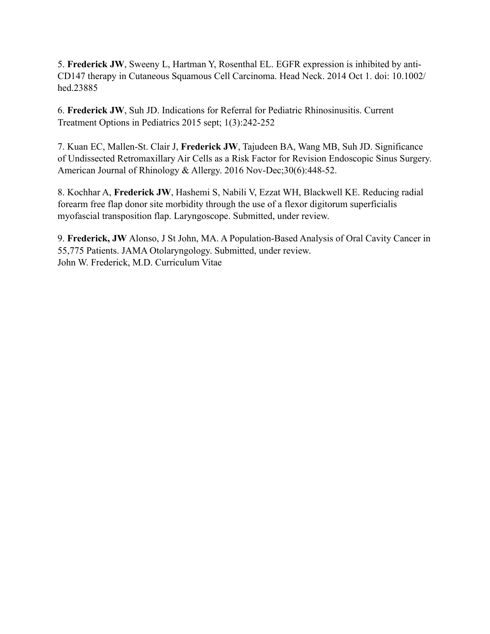5. **Frederick JW**, Sweeny L, Hartman Y, Rosenthal EL. EGFR expression is inhibited by anti-CD147 therapy in Cutaneous Squamous Cell Carcinoma. Head Neck. 2014 Oct 1. doi: 10.1002/ hed.23885

6. **Frederick JW**, Suh JD. Indications for Referral for Pediatric Rhinosinusitis. Current Treatment Options in Pediatrics 2015 sept; 1(3):242-252

7. Kuan EC, Mallen-St. Clair J, **Frederick JW**, Tajudeen BA, Wang MB, Suh JD. Significance of Undissected Retromaxillary Air Cells as a Risk Factor for Revision Endoscopic Sinus Surgery. American Journal of Rhinology & Allergy. 2016 Nov-Dec;30(6):448-52.

8. Kochhar A, **Frederick JW**, Hashemi S, Nabili V, Ezzat WH, Blackwell KE. Reducing radial forearm free flap donor site morbidity through the use of a flexor digitorum superficialis myofascial transposition flap. Laryngoscope. Submitted, under review.

9. **Frederick, JW** Alonso, J St John, MA. A Population-Based Analysis of Oral Cavity Cancer in 55,775 Patients. JAMA Otolaryngology. Submitted, under review. John W. Frederick, M.D. Curriculum Vitae